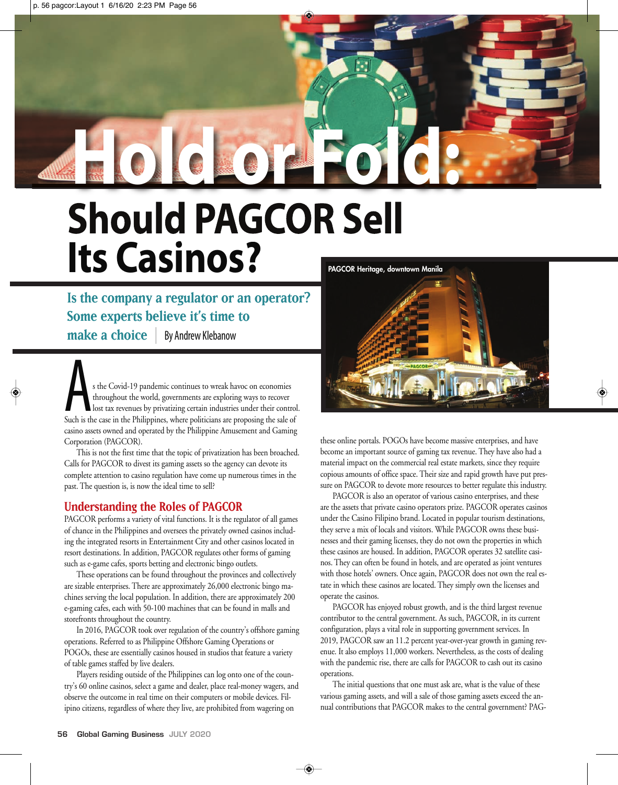## **Should PAGCOR Sell Its Casinos? Hold or Fold:**

**Is the company a regulator or an operator? Some experts believe it's time to make a choice** | By Andrew Klebanow

s the Covid-19 pandemic continues to wreak havoc on economies<br>throughout the world, governments are exploring ways to recover<br>Such is the case in the Philippines, where politicians are proposing the sale of throughout the world, governments are exploring ways to recover lost tax revenues by privatizing certain industries under their control. casino assets owned and operated by the Philippine Amusement and Gaming Corporation (PAGCOR).

This is not the first time that the topic of privatization has been broached. Calls for PAGCOR to divest its gaming assets so the agency can devote its complete attention to casino regulation have come up numerous times in the past. The question is, is now the ideal time to sell?

## **Understanding the Roles of PAGCOR**

PAGCOR performs a variety of vital functions. It is the regulator of all games of chance in the Philippines and oversees the privately owned casinos including the integrated resorts in Entertainment City and other casinos located in resort destinations. In addition, PAGCOR regulates other forms of gaming such as e-game cafes, sports betting and electronic bingo outlets.

These operations can be found throughout the provinces and collectively are sizable enterprises. There are approximately 26,000 electronic bingo machines serving the local population. In addition, there are approximately 200 e-gaming cafes, each with 50-100 machines that can be found in malls and storefronts throughout the country.

In 2016, PAGCOR took over regulation of the country's offshore gaming operations. Referred to as Philippine Offshore Gaming Operations or POGOs, these are essentially casinos housed in studios that feature a variety of table games staffed by live dealers.

Players residing outside of the Philippines can log onto one of the country's 60 online casinos, select a game and dealer, place real-money wagers, and observe the outcome in real time on their computers or mobile devices. Filipino citizens, regardless of where they live, are prohibited from wagering on



these online portals. POGOs have become massive enterprises, and have become an important source of gaming tax revenue. They have also had a material impact on the commercial real estate markets, since they require copious amounts of office space. Their size and rapid growth have put pressure on PAGCOR to devote more resources to better regulate this industry.

PAGCOR is also an operator of various casino enterprises, and these are the assets that private casino operators prize. PAGCOR operates casinos under the Casino Filipino brand. Located in popular tourism destinations, they serve a mix of locals and visitors. While PAGCOR owns these businesses and their gaming licenses, they do not own the properties in which these casinos are housed. In addition, PAGCOR operates 32 satellite casinos. They can often be found in hotels, and are operated as joint ventures with those hotels' owners. Once again, PAGCOR does not own the real estate in which these casinos are located. They simply own the licenses and operate the casinos.

PAGCOR has enjoyed robust growth, and is the third largest revenue contributor to the central government. As such, PAGCOR, in its current configuration, plays a vital role in supporting government services. In 2019, PAGCOR saw an 11.2 percent year-over-year growth in gaming revenue. It also employs 11,000 workers. Nevertheless, as the costs of dealing with the pandemic rise, there are calls for PAGCOR to cash out its casino operations.

The initial questions that one must ask are, what is the value of these various gaming assets, and will a sale of those gaming assets exceed the annual contributions that PAGCOR makes to the central government? PAG-